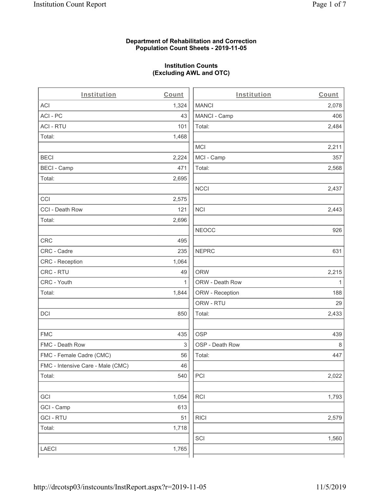### **Department of Rehabilitation and Correction Population Count Sheets - 2019-11-05**

## **Institution Counts (Excluding AWL and OTC)**

. .

| Institution                       | Count | Institution     | Count        |
|-----------------------------------|-------|-----------------|--------------|
| ACI                               | 1,324 | <b>MANCI</b>    | 2,078        |
| ACI - PC                          | 43    | MANCI - Camp    | 406          |
| <b>ACI - RTU</b>                  | 101   | Total:          | 2,484        |
| Total:                            | 1,468 |                 |              |
|                                   |       | <b>MCI</b>      | 2,211        |
| <b>BECI</b>                       | 2,224 | MCI - Camp      | 357          |
| <b>BECI - Camp</b>                | 471   | Total:          | 2,568        |
| Total:                            | 2,695 |                 |              |
|                                   |       | <b>NCCI</b>     | 2,437        |
| CCI                               | 2,575 |                 |              |
| CCI - Death Row                   | 121   | <b>NCI</b>      | 2,443        |
| Total:                            | 2,696 |                 |              |
|                                   |       | <b>NEOCC</b>    | 926          |
| <b>CRC</b>                        | 495   |                 |              |
| CRC - Cadre                       | 235   | <b>NEPRC</b>    | 631          |
| CRC - Reception                   | 1,064 |                 |              |
| CRC - RTU                         | 49    | <b>ORW</b>      | 2,215        |
| CRC - Youth                       | 1     | ORW - Death Row | $\mathbf{1}$ |
| Total:                            | 1,844 | ORW - Reception | 188          |
|                                   |       | ORW - RTU       | 29           |
| DCI                               | 850   | Total:          | 2,433        |
| <b>FMC</b>                        | 435   | <b>OSP</b>      | 439          |
| FMC - Death Row                   | 3     | OSP - Death Row | 8            |
| FMC - Female Cadre (CMC)          | 56    | Total:          | 447          |
| FMC - Intensive Care - Male (CMC) | 46    |                 |              |
| Total:                            | 540   | PCI             | 2,022        |
| GCI                               | 1,054 | <b>RCI</b>      | 1,793        |
| GCI - Camp                        | 613   |                 |              |
| <b>GCI - RTU</b>                  | 51    | <b>RICI</b>     | 2,579        |
| Total:                            | 1,718 |                 |              |
|                                   |       | SCI             | 1,560        |
| LAECI                             | 1,765 |                 |              |
|                                   |       |                 |              |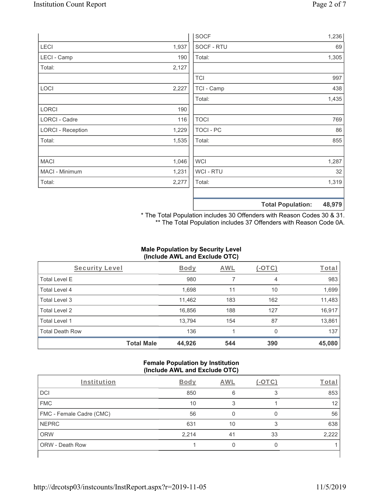|                          |       | SOCF        | 1,236                              |
|--------------------------|-------|-------------|------------------------------------|
| LECI                     | 1,937 | SOCF - RTU  | 69                                 |
| LECI - Camp              | 190   | Total:      | 1,305                              |
| Total:                   | 2,127 |             |                                    |
|                          |       | <b>TCI</b>  | 997                                |
| LOCI                     | 2,227 | TCI - Camp  | 438                                |
|                          |       | Total:      | 1,435                              |
| <b>LORCI</b>             | 190   |             |                                    |
| LORCI - Cadre            | 116   | <b>TOCI</b> | 769                                |
| <b>LORCI - Reception</b> | 1,229 | TOCI - PC   | 86                                 |
| Total:                   | 1,535 | Total:      | 855                                |
| <b>MACI</b>              | 1,046 | WCI         | 1,287                              |
| MACI - Minimum           | 1,231 | WCI - RTU   | 32                                 |
| Total:                   | 2,277 | Total:      | 1,319                              |
|                          |       |             | 48,979<br><b>Total Population:</b> |

\* The Total Population includes 30 Offenders with Reason Codes 30 & 31. \*\* The Total Population includes 37 Offenders with Reason Code 0A.

## **Male Population by Security Level (Include AWL and Exclude OTC)**

| Security Level         |                   | <b>Body</b> | AWL | (-OTC) | Total  |
|------------------------|-------------------|-------------|-----|--------|--------|
| <b>Total Level E</b>   |                   | 980         | 7   | 4      | 983    |
| Total Level 4          |                   | 1,698       | 11  | 10     | 1,699  |
| Total Level 3          |                   | 11,462      | 183 | 162    | 11,483 |
| Total Level 2          |                   | 16,856      | 188 | 127    | 16,917 |
| Total Level 1          |                   | 13,794      | 154 | 87     | 13,861 |
| <b>Total Death Row</b> |                   | 136         |     | 0      | 137    |
|                        | <b>Total Male</b> | 44,926      | 544 | 390    | 45,080 |

### **Female Population by Institution (Include AWL and Exclude OTC)**

| Institution              | <b>Body</b> | AWL | $(-OTC)$ | Total |
|--------------------------|-------------|-----|----------|-------|
| <b>DCI</b>               | 850         | 6   |          | 853   |
| <b>FMC</b>               | 10          |     |          | 12    |
| FMC - Female Cadre (CMC) | 56          |     |          | 56    |
| <b>NEPRC</b>             | 631         | 10  | ॽ        | 638   |
| <b>ORW</b>               | 2,214       | 41  | 33       | 2,222 |
| <b>ORW - Death Row</b>   |             |     |          |       |
|                          |             |     |          |       |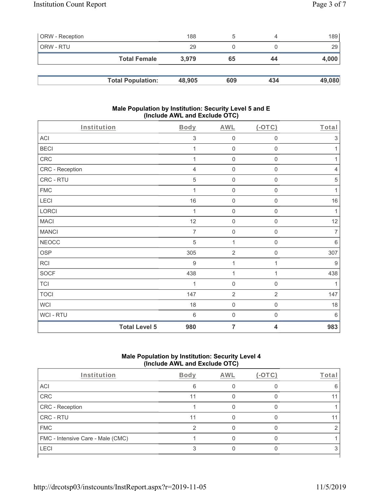| <b>ORW</b> - Reception |                          | 188    | b   | 4   | 189    |
|------------------------|--------------------------|--------|-----|-----|--------|
| ORW - RTU              |                          | 29     |     |     | 29     |
|                        | <b>Total Female</b>      | 3.979  | 65  | 44  | 4,000  |
|                        |                          |        |     |     |        |
|                        | <b>Total Population:</b> | 48,905 | 609 | 434 | 49,080 |

### **Male Population by Institution: Security Level 5 and E (Include AWL and Exclude OTC)**

| Institution          | <b>Body</b>     | <b>AWL</b>          | $($ -OTC $)$            | Total          |
|----------------------|-----------------|---------------------|-------------------------|----------------|
| ACI                  | 3               | $\mathsf{O}\xspace$ | $\mathbf 0$             | $\sqrt{3}$     |
| <b>BECI</b>          | 1               | $\mathbf 0$         | $\mathsf{O}\xspace$     | 1              |
| CRC                  | 1               | $\mathbf 0$         | $\mathsf{O}\xspace$     | 1              |
| CRC - Reception      | $\overline{4}$  | $\mathsf{O}\xspace$ | 0                       | $\sqrt{4}$     |
| CRC - RTU            | 5               | $\mathsf{O}\xspace$ | $\mathsf 0$             | 5              |
| ${\sf FMC}$          | 1               | $\mathbf 0$         | $\mathbf 0$             | 1              |
| LECI                 | 16              | $\mathbf 0$         | 0                       | 16             |
| LORCI                | 1               | $\mathbf 0$         | $\mathsf{O}\xspace$     | 1              |
| <b>MACI</b>          | 12              | $\mathbf 0$         | $\mathsf 0$             | 12             |
| <b>MANCI</b>         | $\overline{7}$  | $\mathbf 0$         | $\mathsf 0$             | $\overline{7}$ |
| <b>NEOCC</b>         | 5               | $\mathbf{1}$        | 0                       | $6\,$          |
| <b>OSP</b>           | 305             | $\overline{2}$      | $\mathsf 0$             | 307            |
| RCI                  | $9\,$           | $\mathbf{1}$        | 1                       | $9\,$          |
| SOCF                 | 438             | $\mathbf{1}$        | $\mathbf{1}$            | 438            |
| <b>TCI</b>           | 1               | $\mathbf 0$         | $\mathsf{O}\xspace$     | $\mathbf{1}$   |
| <b>TOCI</b>          | 147             | $\sqrt{2}$          | $\mathbf{2}$            | 147            |
| <b>WCI</b>           | 18              | $\mathsf{O}\xspace$ | $\mathbf 0$             | 18             |
| WCI - RTU            | $6\phantom{1}6$ | $\mathsf{O}\xspace$ | $\boldsymbol{0}$        | 6              |
| <b>Total Level 5</b> | 980             | $\overline{7}$      | $\overline{\mathbf{4}}$ | 983            |

# **Male Population by Institution: Security Level 4 (Include AWL and Exclude OTC)**

| <b>Body</b> | AWL | $(-OTC)$ | Total |
|-------------|-----|----------|-------|
| 6           |     |          |       |
| 11          |     |          |       |
|             |     |          |       |
| 11          |     |          |       |
| ⌒           |     |          |       |
|             |     |          |       |
|             |     |          |       |
|             |     |          |       |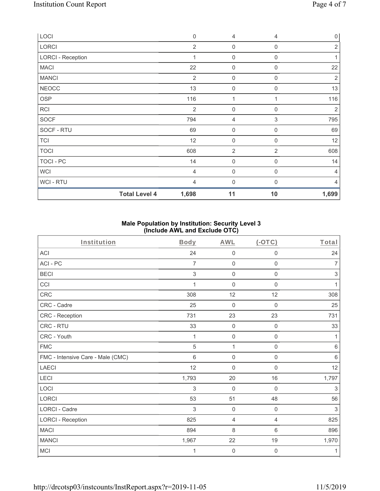| <b>Total Level 4</b>     | 1,698          | 11                  | 10               | 1,699          |
|--------------------------|----------------|---------------------|------------------|----------------|
| <b>WCI-RTU</b>           | $\overline{4}$ | 0                   | $\Omega$         | 4              |
| <b>WCI</b>               | $\overline{4}$ | $\mathsf{O}\xspace$ | $\mathbf 0$      | $\overline{4}$ |
| TOCI - PC                | 14             | $\mathsf{O}\xspace$ | 0                | 14             |
| <b>TOCI</b>              | 608            | $\overline{2}$      | $\overline{2}$   | 608            |
| <b>TCI</b>               | 12             | $\mathsf{O}\xspace$ | $\mathbf 0$      | 12             |
| SOCF - RTU               | 69             | 0                   | $\mathbf 0$      | 69             |
| <b>SOCF</b>              | 794            | 4                   | 3                | 795            |
| <b>RCI</b>               | 2              | $\boldsymbol{0}$    | $\mathbf 0$      | $\overline{2}$ |
| <b>OSP</b>               | 116            | 1                   |                  | 116            |
| <b>NEOCC</b>             | 13             | $\mathbf 0$         | $\Omega$         | 13             |
| <b>MANCI</b>             | $\overline{2}$ | $\boldsymbol{0}$    | $\mathbf 0$      | $\sqrt{2}$     |
| <b>MACI</b>              | 22             | $\boldsymbol{0}$    | 0                | 22             |
| <b>LORCI - Reception</b> | 1              | $\boldsymbol{0}$    | 0                |                |
| LORCI                    | $\overline{2}$ | $\boldsymbol{0}$    | $\boldsymbol{0}$ | $\overline{2}$ |
| LOCI                     | $\mathbf 0$    | 4                   | 4                | $\mathbf 0$    |

### **Male Population by Institution: Security Level 3 (Include AWL and Exclude OTC)**

| Institution                       | Body         | <b>AWL</b>          | $($ -OTC $)$        | Total          |
|-----------------------------------|--------------|---------------------|---------------------|----------------|
| <b>ACI</b>                        | 24           | $\mathbf 0$         | $\boldsymbol{0}$    | 24             |
| ACI-PC                            | 7            | $\mathbf 0$         | $\mathsf{O}\xspace$ | $\overline{7}$ |
| <b>BECI</b>                       | 3            | $\boldsymbol{0}$    | $\mathsf{O}\xspace$ | 3              |
| CCI                               | $\mathbf{1}$ | $\mathbf 0$         | $\mathbf 0$         | 1              |
| CRC                               | 308          | 12                  | 12                  | 308            |
| CRC - Cadre                       | 25           | $\mathbf 0$         | $\mathbf 0$         | 25             |
| CRC - Reception                   | 731          | 23                  | 23                  | 731            |
| CRC - RTU                         | 33           | $\mathbf 0$         | $\mathbf 0$         | 33             |
| CRC - Youth                       | 1            | $\mathbf 0$         | $\mathbf 0$         | 1              |
| <b>FMC</b>                        | 5            | 1                   | $\mathbf 0$         | $\,6$          |
| FMC - Intensive Care - Male (CMC) | 6            | $\mathsf{O}\xspace$ | $\mathsf{O}\xspace$ | $\,6$          |
| <b>LAECI</b>                      | 12           | $\mathbf 0$         | $\mathbf 0$         | 12             |
| LECI                              | 1,793        | 20                  | 16                  | 1,797          |
| LOCI                              | 3            | $\mathbf 0$         | $\mathbf 0$         | 3              |
| LORCI                             | 53           | 51                  | 48                  | 56             |
| LORCI - Cadre                     | 3            | $\mathbf 0$         | $\mathbf 0$         | 3              |
| <b>LORCI - Reception</b>          | 825          | $\overline{4}$      | $\overline{4}$      | 825            |
| <b>MACI</b>                       | 894          | 8                   | 6                   | 896            |
| <b>MANCI</b>                      | 1,967        | 22                  | 19                  | 1,970          |
| <b>MCI</b>                        | 1            | $\mathbf 0$         | 0                   | 1              |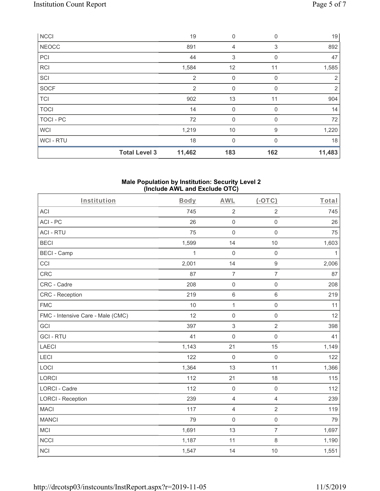| <b>NCCI</b>  |                      | 19             | $\mathbf 0$  | $\mathbf 0$  | 19     |
|--------------|----------------------|----------------|--------------|--------------|--------|
| <b>NEOCC</b> |                      | 891            | 4            | 3            | 892    |
| PCI          |                      | 44             | 3            | 0            | 47     |
| <b>RCI</b>   |                      | 1,584          | 12           | 11           | 1,585  |
| SCI          |                      | $\overline{2}$ | 0            | $\Omega$     | 2      |
| <b>SOCF</b>  |                      | 2              | 0            | $\mathbf{0}$ | 2      |
| <b>TCI</b>   |                      | 902            | 13           | 11           | 904    |
| <b>TOCI</b>  |                      | 14             | 0            | 0            | 14     |
| TOCI - PC    |                      | 72             | 0            | 0            | 72     |
| <b>WCI</b>   |                      | 1,219          | 10           | 9            | 1,220  |
| WCI-RTU      |                      | 18             | $\mathbf{0}$ | $\Omega$     | 18     |
|              | <b>Total Level 3</b> | 11,462         | 183          | 162          | 11,483 |

#### **Male Population by Institution: Security Level 2 (Include AWL and Exclude OTC)**

| Institution                       | Body         | <b>AWL</b>          | $(-OTC)$            | Total        |
|-----------------------------------|--------------|---------------------|---------------------|--------------|
| <b>ACI</b>                        | 745          | $\sqrt{2}$          | $\overline{2}$      | 745          |
| ACI-PC                            | 26           | $\mathsf 0$         | $\mathbf 0$         | 26           |
| <b>ACI - RTU</b>                  | 75           | $\mathsf{O}\xspace$ | $\mathbf 0$         | 75           |
| <b>BECI</b>                       | 1,599        | 14                  | $10$                | 1,603        |
| <b>BECI - Camp</b>                | $\mathbf{1}$ | $\mathbf 0$         | $\mathsf 0$         | $\mathbf{1}$ |
| CCI                               | 2,001        | 14                  | $\mathsf g$         | 2,006        |
| CRC                               | 87           | $\overline{7}$      | $\overline{7}$      | 87           |
| CRC - Cadre                       | 208          | $\mathsf 0$         | $\mathsf{O}\xspace$ | 208          |
| <b>CRC</b> - Reception            | 219          | $\,6\,$             | 6                   | 219          |
| <b>FMC</b>                        | 10           | $\mathbf{1}$        | $\mathsf{O}\xspace$ | 11           |
| FMC - Intensive Care - Male (CMC) | 12           | $\mathsf 0$         | $\mathsf{O}\xspace$ | 12           |
| <b>GCI</b>                        | 397          | $\mathfrak{S}$      | $\overline{2}$      | 398          |
| <b>GCI-RTU</b>                    | 41           | $\mathsf{O}\xspace$ | $\mathsf 0$         | 41           |
| LAECI                             | 1,143        | 21                  | 15                  | 1,149        |
| LECI                              | 122          | $\mathbf 0$         | $\mathbf 0$         | 122          |
| LOCI                              | 1,364        | 13                  | 11                  | 1,366        |
| LORCI                             | 112          | 21                  | 18                  | 115          |
| LORCI - Cadre                     | 112          | $\mathbf 0$         | $\mathbf 0$         | 112          |
| <b>LORCI - Reception</b>          | 239          | $\overline{4}$      | 4                   | 239          |
| <b>MACI</b>                       | 117          | $\overline{4}$      | $\overline{2}$      | 119          |
| <b>MANCI</b>                      | 79           | $\mathsf 0$         | $\mathsf 0$         | 79           |
| <b>MCI</b>                        | 1,691        | 13                  | $\overline{7}$      | 1,697        |
| <b>NCCI</b>                       | 1,187        | 11                  | 8                   | 1,190        |
| <b>NCI</b>                        | 1,547        | 14                  | 10                  | 1,551        |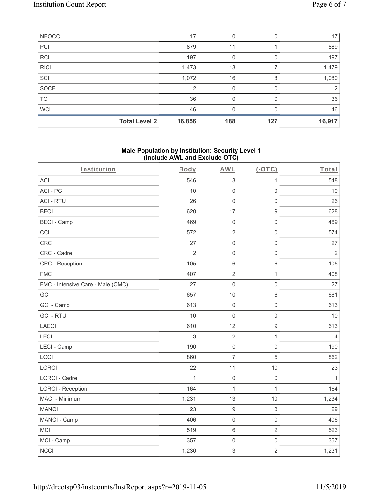| NEOCC       |                      | 17     | 0   |     | 17     |
|-------------|----------------------|--------|-----|-----|--------|
| PCI         |                      | 879    | 11  |     | 889    |
| <b>RCI</b>  |                      | 197    | 0   |     | 197    |
| <b>RICI</b> |                      | 1,473  | 13  |     | 1,479  |
| SCI         |                      | 1,072  | 16  | 8   | 1,080  |
| SOCF        |                      | 2      | 0   |     | 2      |
| <b>TCI</b>  |                      | 36     | 0   |     | 36     |
| <b>WCI</b>  |                      | 46     | 0   |     | 46     |
|             | <b>Total Level 2</b> | 16,856 | 188 | 127 | 16,917 |

### **Male Population by Institution: Security Level 1 (Include AWL and Exclude OTC)**

| Institution                       | Body           | <b>AWL</b>          | $(-OTC)$            | Total          |
|-----------------------------------|----------------|---------------------|---------------------|----------------|
| <b>ACI</b>                        | 546            | $\sqrt{3}$          | $\mathbf{1}$        | 548            |
| ACI-PC                            | 10             | $\mathbf 0$         | $\mathbf 0$         | 10             |
| <b>ACI - RTU</b>                  | 26             | $\mathbf 0$         | $\mathbf 0$         | 26             |
| <b>BECI</b>                       | 620            | 17                  | $\boldsymbol{9}$    | 628            |
| <b>BECI - Camp</b>                | 469            | $\mathbf 0$         | $\mathsf{O}\xspace$ | 469            |
| CCI                               | 572            | $\sqrt{2}$          | $\mathsf 0$         | 574            |
| <b>CRC</b>                        | 27             | $\mathbf 0$         | $\mathsf 0$         | 27             |
| CRC - Cadre                       | $\overline{2}$ | $\mathbf 0$         | $\mathsf{O}\xspace$ | $\overline{2}$ |
| CRC - Reception                   | 105            | $6\,$               | 6                   | 105            |
| <b>FMC</b>                        | 407            | $\sqrt{2}$          | $\mathbf{1}$        | 408            |
| FMC - Intensive Care - Male (CMC) | 27             | $\mathsf{O}\xspace$ | $\mathsf{O}\xspace$ | 27             |
| GCI                               | 657            | 10                  | 6                   | 661            |
| GCI - Camp                        | 613            | $\mathbf 0$         | $\mathsf{O}\xspace$ | 613            |
| <b>GCI-RTU</b>                    | 10             | $\mathbf 0$         | $\mathsf{O}\xspace$ | 10             |
| <b>LAECI</b>                      | 610            | 12                  | $\boldsymbol{9}$    | 613            |
| LECI                              | 3              | $\sqrt{2}$          | $\mathbf{1}$        | $\overline{4}$ |
| LECI - Camp                       | 190            | $\mathbf 0$         | $\mathsf{O}\xspace$ | 190            |
| LOCI                              | 860            | $\overline{7}$      | 5                   | 862            |
| LORCI                             | 22             | 11                  | 10                  | 23             |
| <b>LORCI - Cadre</b>              | 1              | $\mathbf 0$         | $\mathsf{O}\xspace$ | $\mathbf{1}$   |
| <b>LORCI - Reception</b>          | 164            | $\mathbf{1}$        | $\mathbf{1}$        | 164            |
| MACI - Minimum                    | 1,231          | 13                  | 10                  | 1,234          |
| <b>MANCI</b>                      | 23             | $\boldsymbol{9}$    | $\mathfrak{S}$      | 29             |
| MANCI - Camp                      | 406            | $\mathbf 0$         | $\mathbf 0$         | 406            |
| <b>MCI</b>                        | 519            | $\,6\,$             | $\overline{2}$      | 523            |
| MCI - Camp                        | 357            | $\mathsf{O}\xspace$ | $\mathsf{O}\xspace$ | 357            |
| <b>NCCI</b>                       | 1,230          | 3                   | $\overline{2}$      | 1,231          |